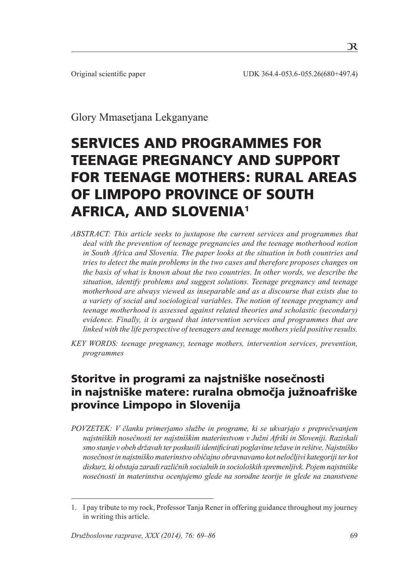$\mathcal{R}$ 

Glory Mmasetjana Lekganyane

# Services and programmes for teenage pregnancy and support for teenage mothers: Rural areas of Limpopo Province of South Africa, and Slovenia1

- *ABSTRACT: This article seeks to juxtapose the current services and programmes that deal with the prevention of teenage pregnancies and the teenage motherhood notion in South Africa and Slovenia. The paper looks at the situation in both countries and tries to detect the main problems in the two cases and therefore proposes changes on the basis of what is known about the two countries. In other words, we describe the situation, identify problems and suggest solutions. Teenage pregnancy and teenage motherhood are always viewed as inseparable and as a discourse that exists due to a variety of social and sociological variables. The notion of teenage pregnancy and teenage motherhood is assessed against related theories and scholastic (secondary) evidence. Finally, it is argued that intervention services and programmes that are linked with the life perspective of teenagers and teenage mothers yield positive results.*
- *KEY WORDS: teenage pregnancy, teenage mothers, intervention services, prevention, programmes*

# Storitve in programi za najstniške nosečnosti in najstniške matere: ruralna območja južnoafriške province Limpopo in Slovenija

*POVZETEK: V članku primerjamo službe in programe, ki se ukvarjajo s preprečevanjem najstniških nosečnosti ter najstniškim materinstvom v Južni Afriki in Sloveniji. Raziskali smo stanje v obeh državah ter poskusili identificirati poglavitne težave in rešitve. Najstniško nosečnost in najstniško materinstvo običajno obravnavamo kot neločljivi kategoriji ter kot diskurz, ki obstaja zaradi različnih socialnih in socioloških spremenljivk. Pojem najstniške nosečnosti in materinstva ocenjujemo glede na sorodne teorije in glede na znanstvene* 

<sup>1</sup>. I pay tribute to my rock, Professor Tanja Rener in offering guidance throughout my journey in writing this article.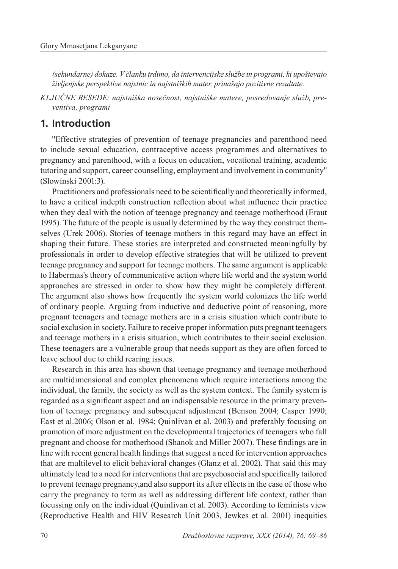*(sekundarne) dokaze. V članku trdimo, da intervencijske službe in programi, ki upoštevajo življenjske perspektive najstnic in najstniških mater, prinašajo pozitivne rezultate.*

*KLJUČNE BESEDE: najstniška nosečnost, najstniške matere, posredovanje služb, preventiva, programi*

#### **1. Introduction**

''Effective strategies of prevention of teenage pregnancies and parenthood need to include sexual education, contraceptive access programmes and alternatives to pregnancy and parenthood, with a focus on education, vocational training, academic tutoring and support, career counselling, employment and involvement in community'' (Slowinski 2001:3).

Practitioners and professionals need to be scientifically and theoretically informed, to have a critical indepth construction reflection about what influence their practice when they deal with the notion of teenage pregnancy and teenage motherhood (Eraut 1995). The future of the people is usually determined by the way they construct themselves (Urek 2006). Stories of teenage mothers in this regard may have an effect in shaping their future. These stories are interpreted and constructed meaningfully by professionals in order to develop effective strategies that will be utilized to prevent teenage pregnancy and support for teenage mothers. The same argument is applicable to Habermas's theory of communicative action where life world and the system world approaches are stressed in order to show how they might be completely different. The argument also shows how frequently the system world colonizes the life world of ordinary people. Arguing from inductive and deductive point of reasoning, more pregnant teenagers and teenage mothers are in a crisis situation which contribute to social exclusion in society. Failure to receive proper information puts pregnant teenagers and teenage mothers in a crisis situation, which contributes to their social exclusion. These teenagers are a vulnerable group that needs support as they are often forced to leave school due to child rearing issues.

Research in this area has shown that teenage pregnancy and teenage motherhood are multidimensional and complex phenomena which require interactions among the individual, the family, the society as well as the system context. The family system is regarded as a significant aspect and an indispensable resource in the primary prevention of teenage pregnancy and subsequent adjustment (Benson 2004; Casper 1990; East et al.2006; Olson et al. 1984; Quinlivan et al. 2003) and preferably focusing on promotion of more adjustment on the developmental trajectories of teenagers who fall pregnant and choose for motherhood (Shanok and Miller 2007). These findings are in line with recent general health findings that suggest a need for intervention approaches that are multilevel to elicit behavioral changes (Glanz et al. 2002). That said this may ultimately lead to a need for interventions that are psychosocial and specifically tailored to prevent teenage pregnancy,and also support its after effects in the case of those who carry the pregnancy to term as well as addressing different life context, rather than focussing only on the individual (Quinlivan et al. 2003). According to feminists view (Reproductive Health and HIV Research Unit 2003, Jewkes et al. 2001) inequities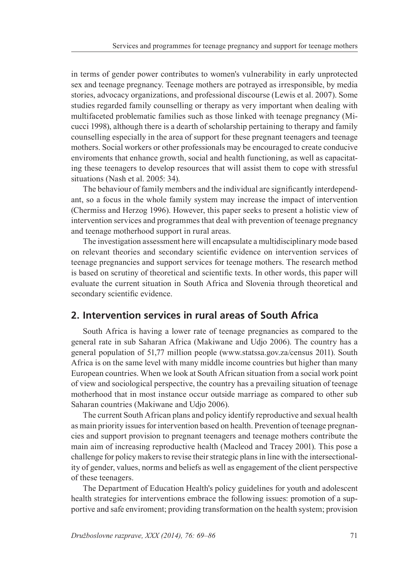in terms of gender power contributes to women's vulnerability in early unprotected sex and teenage pregnancy. Teenage mothers are potrayed as irresponsible, by media stories, advocacy organizations, and professional discourse (Lewis et al. 2007). Some studies regarded family counselling or therapy as very important when dealing with multifaceted problematic families such as those linked with teenage pregnancy (Micucci 1998), although there is a dearth of scholarship pertaining to therapy and family counselling especially in the area of support for these pregnant teenagers and teenage mothers. Social workers or other professionals may be encouraged to create conducive enviroments that enhance growth, social and health functioning, as well as capacitating these teenagers to develop resources that will assist them to cope with stressful situations (Nash et al. 2005: 34).

The behaviour of family members and the individual are significantly interdependant, so a focus in the whole family system may increase the impact of intervention (Chermiss and Herzog 1996). However, this paper seeks to present a holistic view of intervention services and programmes that deal with prevention of teenage pregnancy and teenage motherhood support in rural areas.

The investigation assessment here will encapsulate a multidisciplinary mode based on relevant theories and secondary scientific evidence on intervention services of teenage pregnancies and support services for teenage mothers. The research method is based on scrutiny of theoretical and scientific texts. In other words, this paper will evaluate the current situation in South Africa and Slovenia through theoretical and secondary scientific evidence.

#### **2. Intervention services in rural areas of South Africa**

South Africa is having a lower rate of teenage pregnancies as compared to the general rate in sub Saharan Africa (Makiwane and Udjo 2006). The country has a general population of 51,77 million people (www.statssa.gov.za/census 2011). South Africa is on the same level with many middle income countries but higher than many European countries. When we look at South African situation from a social work point of view and sociological perspective, the country has a prevailing situation of teenage motherhood that in most instance occur outside marriage as compared to other sub Saharan countries (Makiwane and Udjo 2006).

The current South African plans and policy identify reproductive and sexual health as main priority issues for intervention based on health. Prevention of teenage pregnancies and support provision to pregnant teenagers and teenage mothers contribute the main aim of increasing reproductive health (Macleod and Tracey 2001). This pose a challenge for policy makers to revise their strategic plans in line with the intersectionality of gender, values, norms and beliefs as well as engagement of the client perspective of these teenagers.

The Department of Education Health's policy guidelines for youth and adolescent health strategies for interventions embrace the following issues: promotion of a supportive and safe enviroment; providing transformation on the health system; provision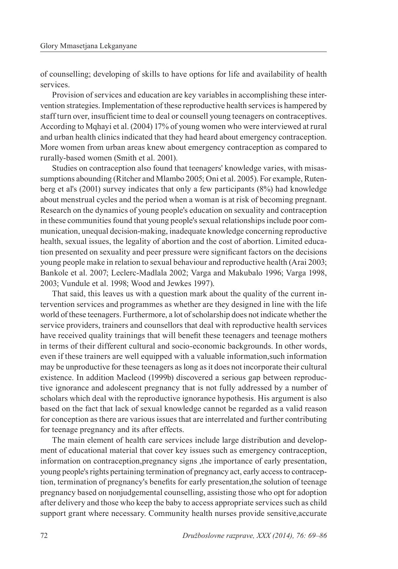of counselling; developing of skills to have options for life and availability of health services.

Provision of services and education are key variables in accomplishing these intervention strategies. Implementation of these reproductive health services is hampered by staff turn over, insufficient time to deal or counsell young teenagers on contraceptives. According to Mqhayi et al. (2004) 17% of young women who were interviewed at rural and urban health clinics indicated that they had heard about emergency contraception. More women from urban areas knew about emergency contraception as compared to rurally-based women (Smith et al. 2001).

Studies on contraception also found that teenagers' knowledge varies, with misassumptions abounding (Ritcher and Mlambo 2005; Oni et al. 2005). For example, Rutenberg et al's (2001) survey indicates that only a few participants (8%) had knowledge about menstrual cycles and the period when a woman is at risk of becoming pregnant. Research on the dynamics of young people's education on sexuality and contraception in these communities found that young people's sexual relationships include poor communication, unequal decision-making, inadequate knowledge concerning reproductive health, sexual issues, the legality of abortion and the cost of abortion. Limited education presented on sexuality and peer pressure were significant factors on the decisions young people make in relation to sexual behaviour and reproductive health (Arai 2003; Bankole et al. 2007; Leclerc-Madlala 2002; Varga and Makubalo 1996; Varga 1998, 2003; Vundule et al. 1998; Wood and Jewkes 1997).

That said, this leaves us with a question mark about the quality of the current intervention services and programmes as whether are they designed in line with the life world of these teenagers. Furthermore, a lot of scholarship does not indicate whether the service providers, trainers and counsellors that deal with reproductive health services have received quality trainings that will benefit these teenagers and teenage mothers in terms of their different cultural and socio-economic backgrounds. In other words, even if these trainers are well equipped with a valuable information,such information may be unproductive for these teenagers as long as it does not incorporate their cultural existence. In addition Macleod (1999b) discovered a serious gap between reproductive ignorance and adolescent pregnancy that is not fully addressed by a number of scholars which deal with the reproductive ignorance hypothesis. His argument is also based on the fact that lack of sexual knowledge cannot be regarded as a valid reason for conception as there are various issues that are interrelated and further contributing for teenage pregnancy and its after effects.

The main element of health care services include large distribution and development of educational material that cover key issues such as emergency contraception, information on contraception,pregnancy signs ,the importance of early presentation, young people's rights pertaining termination of pregnancy act, early access to contraception, termination of pregnancy's benefits for early presentation,the solution of teenage pregnancy based on nonjudgemental counselling, assisting those who opt for adoption after delivery and those who keep the baby to access appropriate services such as child support grant where necessary. Community health nurses provide sensitive,accurate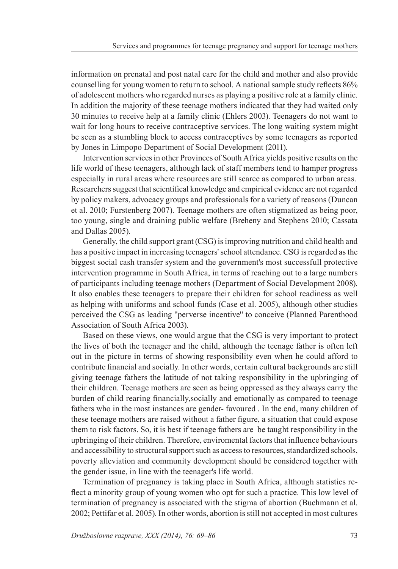information on prenatal and post natal care for the child and mother and also provide counselling for young women to return to school. A national sample study reflects 86% of adolescent mothers who regarded nurses as playing a positive role at a family clinic. In addition the majority of these teenage mothers indicated that they had waited only 30 minutes to receive help at a family clinic (Ehlers 2003). Teenagers do not want to wait for long hours to receive contraceptive services. The long waiting system might be seen as a stumbling block to access contraceptives by some teenagers as reported by Jones in Limpopo Department of Social Development (2011).

Intervention services in other Provinces of South Africa yields positive results on the life world of these teenagers, although lack of staff members tend to hamper progress especially in rural areas where resources are still scarce as compared to urban areas. Researchers suggest that scientifical knowledge and empirical evidence are not regarded by policy makers, advocacy groups and professionals for a variety of reasons (Duncan et al. 2010; Furstenberg 2007). Teenage mothers are often stigmatized as being poor, too young, single and draining public welfare (Breheny and Stephens 2010; Cassata and Dallas 2005).

Generally, the child support grant (CSG) is improving nutrition and child health and has a positive impact in increasing teenagers' school attendance. CSG is regarded as the biggest social cash transfer system and the government's most successfull protective intervention programme in South Africa, in terms of reaching out to a large numbers of participants including teenage mothers (Department of Social Development 2008). It also enables these teenagers to prepare their children for school readiness as well as helping with uniforms and school funds (Case et al. 2005), although other studies perceived the CSG as leading ''perverse incentive'' to conceive (Planned Parenthood Association of South Africa 2003).

Based on these views, one would argue that the CSG is very important to protect the lives of both the teenager and the child, although the teenage father is often left out in the picture in terms of showing responsibility even when he could afford to contribute financial and socially. In other words, certain cultural backgrounds are still giving teenage fathers the latitude of not taking responsibility in the upbringing of their children. Teenage mothers are seen as being oppressed as they always carry the burden of child rearing financially,socially and emotionally as compared to teenage fathers who in the most instances are gender- favoured . In the end, many children of these teenage mothers are raised without a father figure, a situation that could expose them to risk factors. So, it is best if teenage fathers are be taught responsibility in the upbringing of their children. Therefore, enviromental factors that influence behaviours and accessibility to structural support such as access to resources, standardized schools, poverty alleviation and community development should be considered together with the gender issue, in line with the teenager's life world.

Termination of pregnancy is taking place in South Africa, although statistics reflect a minority group of young women who opt for such a practice. This low level of termination of pregnancy is associated with the stigma of abortion (Buchmann et al. 2002; Pettifar et al. 2005). In other words, abortion is still not accepted in most cultures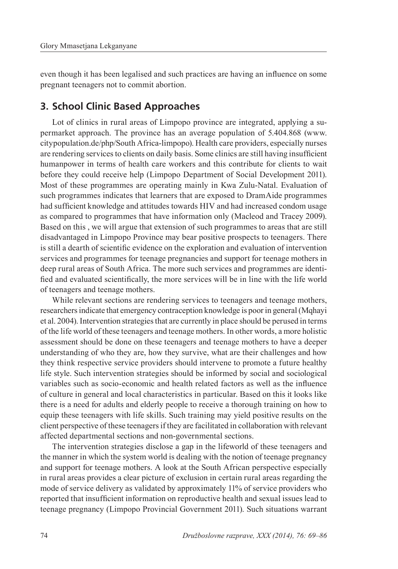even though it has been legalised and such practices are having an influence on some pregnant teenagers not to commit abortion.

#### **3. School Clinic Based Approaches**

Lot of clinics in rural areas of Limpopo province are integrated, applying a supermarket approach. The province has an average population of 5.404.868 (www. citypopulation.de/php/South Africa-limpopo). Health care providers, especially nurses are rendering services to clients on daily basis. Some clinics are still having insufficient humanpower in terms of health care workers and this contribute for clients to wait before they could receive help (Limpopo Department of Social Development 2011). Most of these programmes are operating mainly in Kwa Zulu-Natal. Evaluation of such programmes indicates that learners that are exposed to DramAide programmes had sufficient knowledge and attitudes towards HIV and had increased condom usage as compared to programmes that have information only (Macleod and Tracey 2009). Based on this , we will argue that extension of such programmes to areas that are still disadvantaged in Limpopo Province may bear positive prospects to teenagers. There is still a dearth of scientific evidence on the exploration and evaluation of intervention services and programmes for teenage pregnancies and support for teenage mothers in deep rural areas of South Africa. The more such services and programmes are identified and evaluated scientifically, the more services will be in line with the life world of teenagers and teenage mothers.

While relevant sections are rendering services to teenagers and teenage mothers, researchers indicate that emergency contraception knowledge is poor in general (Mqhayi et al. 2004). Intervention strategies that are currently in place should be perused in terms of the life world of these teenagers and teenage mothers. In other words, a more holistic assessment should be done on these teenagers and teenage mothers to have a deeper understanding of who they are, how they survive, what are their challenges and how they think respective service providers should intervene to promote a future healthy life style. Such intervention strategies should be informed by social and sociological variables such as socio-economic and health related factors as well as the influence of culture in general and local characteristics in particular. Based on this it looks like there is a need for adults and elderly people to receive a thorough training on how to equip these teenagers with life skills. Such training may yield positive results on the client perspective of these teenagers if they are facilitated in collaboration with relevant affected departmental sections and non-governmental sections.

The intervention strategies disclose a gap in the lifeworld of these teenagers and the manner in which the system world is dealing with the notion of teenage pregnancy and support for teenage mothers. A look at the South African perspective especially in rural areas provides a clear picture of exclusion in certain rural areas regarding the mode of service delivery as validated by approximately 11% of service providers who reported that insufficient information on reproductive health and sexual issues lead to teenage pregnancy (Limpopo Provincial Government 2011). Such situations warrant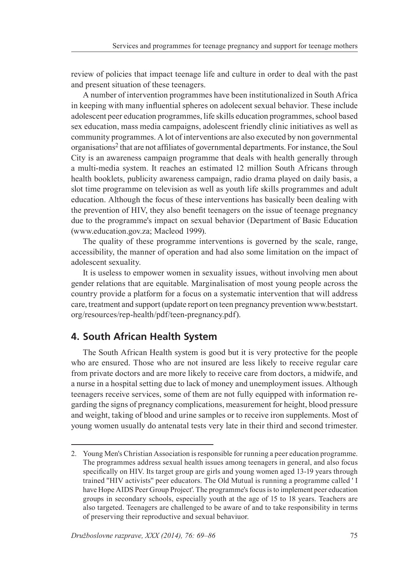review of policies that impact teenage life and culture in order to deal with the past and present situation of these teenagers.

A number of intervention programmes have been institutionalized in South Africa in keeping with many influential spheres on adolecent sexual behavior. These include adolescent peer education programmes, life skills education programmes, school based sex education, mass media campaigns, adolescent friendly clinic initiatives as well as community programmes. A lot of interventions are also executed by non governmental organisations2 that are not affiliates of governmental departments. For instance, the Soul City is an awareness campaign programme that deals with health generally through a multi-media system. It reaches an estimated 12 million South Africans through health booklets, publicity awareness campaign, radio drama played on daily basis, a slot time programme on television as well as youth life skills programmes and adult education. Although the focus of these interventions has basically been dealing with the prevention of HIV, they also benefit teenagers on the issue of teenage pregnancy due to the programme's impact on sexual behavior (Department of Basic Education (www.education.gov.za; Macleod 1999).

The quality of these programme interventions is governed by the scale, range, accessibility, the manner of operation and had also some limitation on the impact of adolescent sexuality.

It is useless to empower women in sexuality issues, without involving men about gender relations that are equitable. Marginalisation of most young people across the country provide a platform for a focus on a systematic intervention that will address care, treatment and support (update report on teen pregnancy prevention www.beststart. org/resources/rep-health/pdf/teen-pregnancy.pdf).

### **4. South African Health System**

The South African Health system is good but it is very protective for the people who are ensured. Those who are not insured are less likely to receive regular care from private doctors and are more likely to receive care from doctors, a midwife, and a nurse in a hospital setting due to lack of money and unemployment issues. Although teenagers receive services, some of them are not fully equipped with information regarding the signs of pregnancy complications, measurement for height, blood pressure and weight, taking of blood and urine samples or to receive iron supplements. Most of young women usually do antenatal tests very late in their third and second trimester.

<sup>2.</sup> Young Men's Christian Association is responsible for running a peer education programme. The programmes address sexual health issues among teenagers in general, and also focus specifically on HIV. Its target group are girls and young women aged 13-19 years through trained ''HIV activists'' peer educators. The Old Mutual is running a programme called ' I have Hope AIDS Peer Group Project'. The programme's focus is to implement peer education groups in secondary schools, especially youth at the age of 15 to 18 years. Teachers are also targeted. Teenagers are challenged to be aware of and to take responsibility in terms of preserving their reproductive and sexual behaviuor.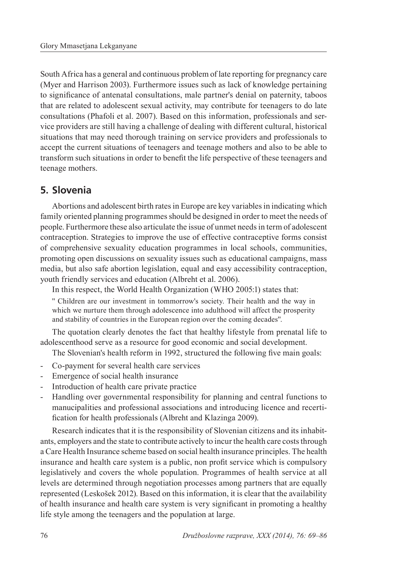South Africa has a general and continuous problem of late reporting for pregnancy care (Myer and Harrison 2003). Furthermore issues such as lack of knowledge pertaining to significance of antenatal consultations, male partner's denial on paternity, taboos that are related to adolescent sexual activity, may contribute for teenagers to do late consultations (Phafoli et al. 2007). Based on this information, professionals and service providers are still having a challenge of dealing with different cultural, historical situations that may need thorough training on service providers and professionals to accept the current situations of teenagers and teenage mothers and also to be able to transform such situations in order to benefit the life perspective of these teenagers and teenage mothers.

# **5. Slovenia**

Abortions and adolescent birth rates in Europe are key variables in indicating which family oriented planning programmes should be designed in order to meet the needs of people. Furthermore these also articulate the issue of unmet needs in term of adolescent contraception. Strategies to improve the use of effective contraceptive forms consist of comprehensive sexuality education programmes in local schools, communities, promoting open discussions on sexuality issues such as educational campaigns, mass media, but also safe abortion legislation, equal and easy accessibility contraception, youth friendly services and education (Albreht et al. 2006).

In this respect, the World Health Organization (WHO 2005:1) states that:

'' Children are our investment in tommorrow's society. Their health and the way in which we nurture them through adolescence into adulthood will affect the prosperity and stability of countries in the European region over the coming decades''.

The quotation clearly denotes the fact that healthy lifestyle from prenatal life to adolescenthood serve as a resource for good economic and social development.

The Slovenian's health reform in 1992, structured the following five main goals:

- Co-payment for several health care services
- Emergence of social health insurance
- Introduction of health care private practice
- Handling over governmental responsibility for planning and central functions to manucipalities and professional associations and introducing licence and recertification for health professionals (Albreht and Klazinga 2009).

Research indicates that it is the responsibility of Slovenian citizens and its inhabitants, employers and the state to contribute actively to incur the health care costs through a Care Health Insurance scheme based on social health insurance principles. The health insurance and health care system is a public, non profit service which is compulsory legislatively and covers the whole population. Programmes of health service at all levels are determined through negotiation processes among partners that are equally represented (Leskošek 2012). Based on this information, it is clear that the availability of health insurance and health care system is very significant in promoting a healthy life style among the teenagers and the population at large.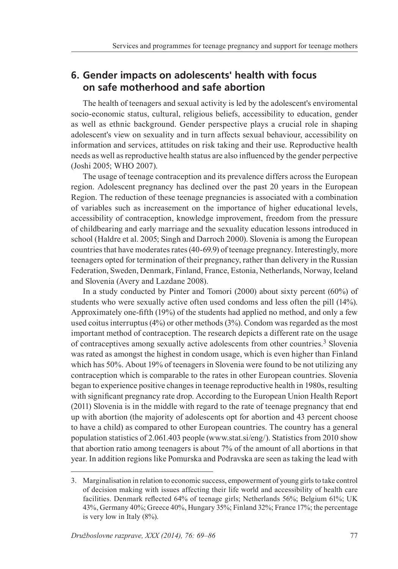## **6. Gender impacts on adolescents' health with focus on safe motherhood and safe abortion**

The health of teenagers and sexual activity is led by the adolescent's enviromental socio-economic status, cultural, religious beliefs, accessibility to education, gender as well as ethnic background. Gender perspective plays a crucial role in shaping adolescent's view on sexuality and in turn affects sexual behaviour, accessibility on information and services, attitudes on risk taking and their use. Reproductive health needs as well as reproductive health status are also influenced by the gender perpective (Joshi 2005; WHO 2007).

The usage of teenage contraception and its prevalence differs across the European region. Adolescent pregnancy has declined over the past 20 years in the European Region. The reduction of these teenage pregnancies is associated with a combination of variables such as increasement on the importance of higher educational levels, accessibility of contraception, knowledge improvement, freedom from the pressure of childbearing and early marriage and the sexuality education lessons introduced in school (Haldre et al. 2005; Singh and Darroch 2000). Slovenia is among the European countries that have moderates rates (40-69.9) of teenage pregnancy. Interestingly, more teenagers opted for termination of their pregnancy, rather than delivery in the Russian Federation, Sweden, Denmark, Finland, France, Estonia, Netherlands, Norway, Iceland and Slovenia (Avery and Lazdane 2008).

In a study conducted by Pinter and Tomori (2000) about sixty percent (60%) of students who were sexually active often used condoms and less often the pill (14%). Approximately one-fifth (19%) of the students had applied no method, and only a few used coitus interruptus (4%) or other methods (3%). Condom was regarded as the most important method of contraception. The research depicts a different rate on the usage of contraceptives among sexually active adolescents from other countries.3 Slovenia was rated as amongst the highest in condom usage, which is even higher than Finland which has 50%. About 19% of teenagers in Slovenia were found to be not utilizing any contraception which is comparable to the rates in other European countries. Slovenia began to experience positive changes in teenage reproductive health in 1980s, resulting with significant pregnancy rate drop. According to the European Union Health Report (2011) Slovenia is in the middle with regard to the rate of teenage pregnancy that end up with abortion (the majority of adolescents opt for abortion and 43 percent choose to have a child) as compared to other European countries. The country has a general population statistics of 2.061.403 people (www.stat.si/eng/). Statistics from 2010 show that abortion ratio among teenagers is about 7% of the amount of all abortions in that year. In addition regions like Pomurska and Podravska are seen as taking the lead with

<sup>3.</sup> Marginalisation in relation to economic success, empowerment of young girls to take control of decision making with issues affecting their life world and accessibility of health care facilities. Denmark reflected 64% of teenage girls; Netherlands 56%; Belgium 61%; UK 43%, Germany 40%; Greece 40%, Hungary 35%; Finland 32%; France 17%; the percentage is very low in Italy (8%).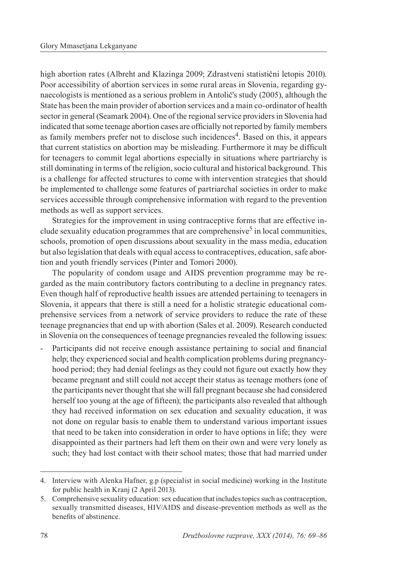high abortion rates (Albreht and Klazinga 2009; Zdrastveni statistični letopis 2010). Poor accessibility of abortion services in some rural areas in Slovenia, regarding gynaecologists is mentioned as a serious problem in Antolič's study (2005), although the State has been the main provider of abortion services and a main co-ordinator of health sector in general (Seamark 2004). One of the regional service providers in Slovenia had indicated that some teenage abortion cases are officially not reported by family members as family members prefer not to disclose such incidences<sup>4</sup>. Based on this, it appears that current statistics on abortion may be misleading. Furthermore it may be difficult for teenagers to commit legal abortions especially in situations where partriarchy is still dominating in terms of the religion, socio cultural and historical background. This is a challenge for affected structures to come with intervention strategies that should be implemented to challenge some features of partriarchal societies in order to make services accessible through comprehensive information with regard to the prevention methods as well as support services.

Strategies for the improvement in using contraceptive forms that are effective include sexuality education programmes that are comprehensive<sup>5</sup> in local communities, schools, promotion of open discussions about sexuality in the mass media, education but also legislation that deals with equal access to contraceptives, education, safe abortion and youth friendly services (Pinter and Tomori 2000).

The popularity of condom usage and AIDS prevention programme may be regarded as the main contributory factors contributing to a decline in pregnancy rates. Even though half of reproductive health issues are attended pertaining to teenagers in Slovenia, it appears that there is still a need for a holistic strategic educational comprehensive services from a network of service providers to reduce the rate of these teenage pregnancies that end up with abortion (Sales et al. 2009). Research conducted in Slovenia on the consequences of teenage pregnancies revealed the following issues:

Participants did not receive enough assistance pertaining to social and financial help; they experienced social and health complication problems during pregnancyhood period; they had denial feelings as they could not figure out exactly how they became pregnant and still could not accept their status as teenage mothers (one of the participants never thought that she will fall pregnant because she had considered herself too young at the age of fifteen); the participants also revealed that although they had received information on sex education and sexuality education, it was not done on regular basis to enable them to understand various important issues that need to be taken into consideration in order to have options in life; they were disappointed as their partners had left them on their own and were very lonely as such; they had lost contact with their school mates; those that had married under

<sup>4.</sup> Interview with Alenka Hafner, g.p (specialist in social medicine) working in the Institute for public health in Kranj (2 April 2013).

<sup>5.</sup> Comprehensive sexuality education: sex education that includes topics such as contraception, sexually transmitted diseases, HIV/AIDS and disease-prevention methods as well as the benefits of abstinence.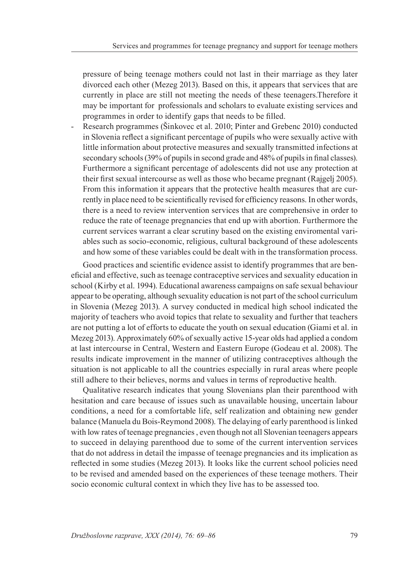pressure of being teenage mothers could not last in their marriage as they later divorced each other (Mezeg 2013). Based on this, it appears that services that are currently in place are still not meeting the needs of these teenagers.Therefore it may be important for professionals and scholars to evaluate existing services and programmes in order to identify gaps that needs to be filled.

Research programmes (Šinkovec et al. 2010; Pinter and Grebenc 2010) conducted in Slovenia reflect a significant percentage of pupils who were sexually active with little information about protective measures and sexually transmitted infections at secondary schools (39% of pupils in second grade and 48% of pupils in final classes). Furthermore a significant percentage of adolescents did not use any protection at their first sexual intercourse as well as those who became pregnant (Rajgelj 2005). From this information it appears that the protective health measures that are currently in place need to be scientifically revised for efficiency reasons. In other words, there is a need to review intervention services that are comprehensive in order to reduce the rate of teenage pregnancies that end up with abortion. Furthermore the current services warrant a clear scrutiny based on the existing enviromental variables such as socio-economic, religious, cultural background of these adolescents and how some of these variables could be dealt with in the transformation process.

Good practices and scientific evidence assist to identify programmes that are beneficial and effective, such as teenage contraceptive services and sexuality education in school (Kirby et al. 1994). Educational awareness campaigns on safe sexual behaviour appear to be operating, although sexuality education is not part of the school curriculum in Slovenia (Mezeg 2013). A survey conducted in medical high school indicated the majority of teachers who avoid topics that relate to sexuality and further that teachers are not putting a lot of efforts to educate the youth on sexual education (Giami et al. in Mezeg 2013). Approximately 60% of sexually active 15-year olds had applied a condom at last intercourse in Central, Western and Eastern Europe (Godeau et al. 2008). The results indicate improvement in the manner of utilizing contraceptives although the situation is not applicable to all the countries especially in rural areas where people still adhere to their believes, norms and values in terms of reproductive health.

Qualitative research indicates that young Slovenians plan their parenthood with hesitation and care because of issues such as unavailable housing, uncertain labour conditions, a need for a comfortable life, self realization and obtaining new gender balance (Manuela du Bois-Reymond 2008). The delaying of early parenthood is linked with low rates of teenage pregnancies , even though not all Slovenian teenagers appears to succeed in delaying parenthood due to some of the current intervention services that do not address in detail the impasse of teenage pregnancies and its implication as reflected in some studies (Mezeg 2013). It looks like the current school policies need to be revised and amended based on the experiences of these teenage mothers. Their socio economic cultural context in which they live has to be assessed too.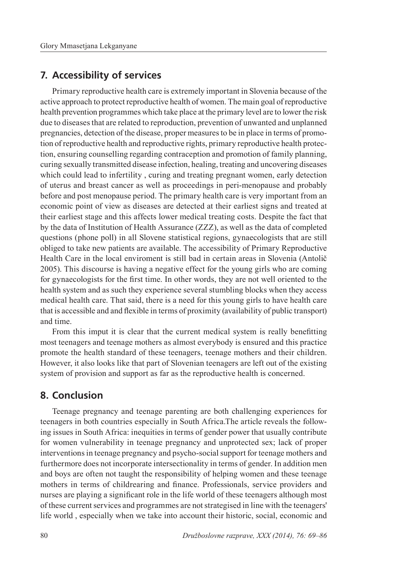#### **7. Accessibility of services**

Primary reproductive health care is extremely important in Slovenia because of the active approach to protect reproductive health of women. The main goal of reproductive health prevention programmes which take place at the primary level are to lower the risk due to diseases that are related to reproduction, prevention of unwanted and unplanned pregnancies, detection of the disease, proper measures to be in place in terms of promotion of reproductive health and reproductive rights, primary reproductive health protection, ensuring counselling regarding contraception and promotion of family planning, curing sexually transmitted disease infection, healing, treating and uncovering diseases which could lead to infertility , curing and treating pregnant women, early detection of uterus and breast cancer as well as proceedings in peri-menopause and probably before and post menopause period. The primary health care is very important from an economic point of view as diseases are detected at their earliest signs and treated at their earliest stage and this affects lower medical treating costs. Despite the fact that by the data of Institution of Health Assurance (ZZZ), as well as the data of completed questions (phone poll) in all Slovene statistical regions, gynaecologists that are still obliged to take new patients are available. The accessibility of Primary Reproductive Health Care in the local enviroment is still bad in certain areas in Slovenia (Antolič 2005). This discourse is having a negative effect for the young girls who are coming for gynaecologists for the first time. In other words, they are not well oriented to the health system and as such they experience several stumbling blocks when they access medical health care. That said, there is a need for this young girls to have health care that is accessible and and flexible in terms of proximity (availability of public transport) and time.

From this imput it is clear that the current medical system is really benefitting most teenagers and teenage mothers as almost everybody is ensured and this practice promote the health standard of these teenagers, teenage mothers and their children. However, it also looks like that part of Slovenian teenagers are left out of the existing system of provision and support as far as the reproductive health is concerned.

### **8. Conclusion**

Teenage pregnancy and teenage parenting are both challenging experiences for teenagers in both countries especially in South Africa.The article reveals the following issues in South Africa: inequities in terms of gender power that usually contribute for women vulnerability in teenage pregnancy and unprotected sex; lack of proper interventions in teenage pregnancy and psycho-social support for teenage mothers and furthermore does not incorporate intersectionality in terms of gender. In addition men and boys are often not taught the responsibility of helping women and these teenage mothers in terms of childrearing and finance. Professionals, service providers and nurses are playing a significant role in the life world of these teenagers although most of these current services and programmes are not strategised in line with the teenagers' life world , especially when we take into account their historic, social, economic and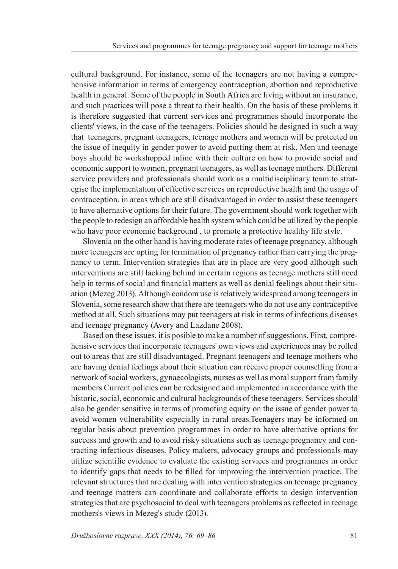cultural background. For instance, some of the teenagers are not having a comprehensive information in terms of emergency contraception, abortion and reproductive health in general. Some of the people in South Africa are living without an insurance, and such practices will pose a threat to their health. On the basis of these problems it is therefore suggested that current services and programmes should incorporate the clients' views, in the case of the teenagers. Policies should be designed in such a way that teenagers, pregnant teenagers, teenage mothers and women will be protected on the issue of inequity in gender power to avoid putting them at risk. Men and teenage boys should be workshopped inline with their culture on how to provide social and economic support to women, pregnant teenagers, as well as teenage mothers. Different service providers and professionals should work as a multidisciplinary team to strategise the implementation of effective services on reproductive health and the usage of contraception, in areas which are still disadvantaged in order to assist these teenagers to have alternative options for their future. The government should work together with the people to redesign an affordable health system which could be utilized by the people who have poor economic background , to promote a protective healthy life style.

Slovenia on the other hand is having moderate rates of teenage pregnancy, although more teenagers are opting for termination of pregnancy rather than carrying the pregnancy to term. Intervention strategies that are in place are very good although such interventions are still lacking behind in certain regions as teenage mothers still need help in terms of social and financial matters as well as denial feelings about their situation (Mezeg 2013). Although condom use is relatively widespread among teenagers in Slovenia, some research show that there are teenagers who do not use any contraceptive method at all. Such situations may put teenagers at risk in terms of infectious diseases and teenage pregnancy (Avery and Lazdane 2008).

Based on these issues, it is posible to make a number of suggestions. First, comprehensive services that incorporate teenagers' own views and experiences may be rolled out to areas that are still disadvantaged. Pregnant teenagers and teenage mothers who are having denial feelings about their situation can receive proper counselling from a network of social workers, gynaecologists, nurses as well as moral support from family members.Current policies can be redesigned and implemented in accordance with the historic, social, economic and cultural backgrounds of these teenagers. Services should also be gender sensitive in terms of promoting equity on the issue of gender power to avoid women vulnerability especially in rural areas.Teenagers may be informed on regular basis about prevention programmes in order to have alternative options for success and growth and to avoid risky situations such as teenage pregnancy and contracting infectious diseases. Policy makers, advocacy groups and professionals may utilize scientific evidence to evaluate the existing services and programmes in order to identify gaps that needs to be filled for improving the intervention practice. The relevant structures that are dealing with intervention strategies on teenage pregnancy and teenage matters can coordinate and collaborate efforts to design intervention strategies that are psychosocial to deal with teenagers problems as reflected in teenage mothers's views in Mezeg's study (2013).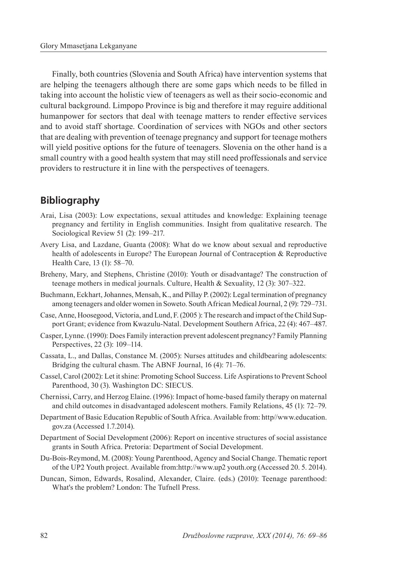Finally, both countries (Slovenia and South Africa) have intervention systems that are helping the teenagers although there are some gaps which needs to be filled in taking into account the holistic view of teenagers as well as their socio-economic and cultural background. Limpopo Province is big and therefore it may reguire additional humanpower for sectors that deal with teenage matters to render effective services and to avoid staff shortage. Coordination of services with NGOs and other sectors that are dealing with prevention of teenage pregnancy and support for teenage mothers will yield positive options for the future of teenagers. Slovenia on the other hand is a small country with a good health system that may still need proffessionals and service providers to restructure it in line with the perspectives of teenagers.

### **Bibliography**

- Arai, Lisa (2003): Low expectations, sexual attitudes and knowledge: Explaining teenage pregnancy and fertility in English communities. Insight from qualitative research. The Sociological Review 51 (2): 199–217.
- Avery Lisa, and Lazdane, Guanta (2008): What do we know about sexual and reproductive health of adolescents in Europe? The European Journal of Contraception & Reproductive Health Care, 13 (1): 58–70.
- Breheny, Mary, and Stephens, Christine (2010): Youth or disadvantage? The construction of teenage mothers in medical journals. Culture, Health & Sexuality, 12 (3): 307–322.
- Buchmann, Eckhart, Johannes, Mensah, K., and Pillay P. (2002): Legal termination of pregnancy among teenagers and older women in Soweto. South African Medical Journal, 2 (9): 729–731.
- Case, Anne, Hoosegood, Victoria, and Lund, F. (2005 ): The research and impact of the Child Support Grant; evidence from Kwazulu-Natal. Development Southern Africa, 22 (4): 467–487.
- Casper, Lynne. (1990): Does Family interaction prevent adolescent pregnancy? Family Planning Perspectives, 22 (3): 109–114.
- Cassata, L., and Dallas, Constance M. (2005): Nurses attitudes and childbearing adolescents: Bridging the cultural chasm. The ABNF Journal, 16 (4): 71–76.
- Cassel, Carol (2002): Let it shine: Promoting School Success. Life Aspirations to Prevent School Parenthood, 30 (3). Washington DC: SIECUS.
- Chernissi, Carry, and Herzog Elaine. (1996): Impact of home-based family therapy on maternal and child outcomes in disadvantaged adolescent mothers. Family Relations, 45 (1): 72–79.
- Department of Basic Education Republic of South Africa. Available from: http//www.education. gov.za (Accessed 1.7.2014).
- Department of Social Development (2006): Report on incentive structures of social assistance grants in South Africa. Pretoria: Department of Social Development.
- Du-Bois-Reymond, M. (2008): Young Parenthood, Agency and Social Change. Thematic report of the UP2 Youth project. Available from:http://www.up2 youth.org (Accessed 20. 5. 2014).
- Duncan, Simon, Edwards, Rosalind, Alexander, Claire. (eds.) (2010): Teenage parenthood: What's the problem? London: The Tufnell Press.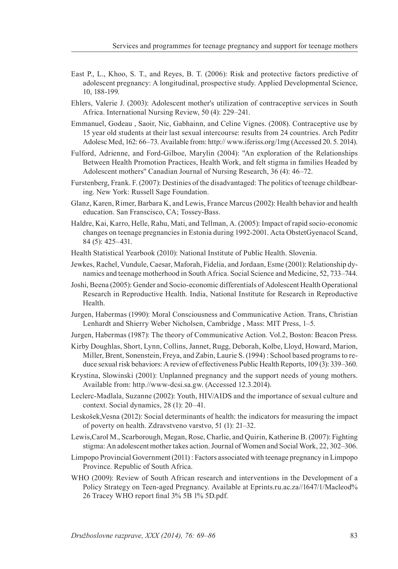- East P., L., Khoo, S. T., and Reyes, B. T. (2006): Risk and protective factors predictive of adolescent pregnancy: A longitudinal, prospective study. Applied Developmental Science, 10, 188-199.
- Ehlers, Valerie J. (2003): Adolescent mother's utilization of contraceptive services in South Africa. International Nursing Review, 50 (4): 229–241.
- Emmanuel, Godeau , Saoir, Nic, Gabhainn, and Celine Vignes. (2008). Contraceptive use by 15 year old students at their last sexual intercourse: results from 24 countries. Arch Peditr Adolesc Med, 162: 66–73. Available from: http:// www.iferiss.org/1mg (Accessed 20. 5. 2014).
- Fulford, Adrienne, and Ford-Gilboe, Marylin (2004): ''An exploration of the Relationships Between Health Promotion Practices, Health Work, and felt stigma in families Headed by Adolescent mothers'' Canadian Journal of Nursing Research, 36 (4): 46–72.
- Furstenberg, Frank. F. (2007): Destinies of the disadvantaged: The politics of teenage childbearing. New York: Russell Sage Foundation.
- Glanz, Karen, Rimer, Barbara K, and Lewis, France Marcus (2002): Health behavior and health education. San Franscisco, CA; Tossey-Bass.
- Haldre, Kai, Karro, Helle, Rahu, Mati, and Tellman, A. (2005): Impact of rapid socio-economic changes on teenage pregnancies in Estonia during 1992-2001. Acta ObstetGyenacol Scand, 84 (5): 425–431.
- Health Statistical Yearbook (2010): National Institute of Public Health. Slovenia.
- Jewkes, Rachel, Vundule, Caesar, Maforah, Fidelia, and Jordaan, Esme (2001): Relationship dynamics and teenage motherhood in South Africa. Social Science and Medicine, 52, 733–744.
- Joshi, Beena (2005): Gender and Socio-economic differentials of Adolescent Health Operational Research in Reproductive Health. India, National Institute for Research in Reproductive Health.
- Jurgen, Habermas (1990): Moral Consciousness and Communicative Action. Trans, Christian Lenhardt and Shierry Weber Nicholsen, Cambridge , Mass: MIT Press, 1–5.
- Jurgen, Habermas (1987): The theory of Communicative Action. Vol.2, Boston: Beacon Press.
- Kirby Doughlas, Short, Lynn, Collins, Jannet, Rugg, Deborah, Kolbe, Lloyd, Howard, Marion, Miller, Brent, Sonenstein, Freya, and Zabin, Laurie S. (1994) : School based programs to reduce sexual risk behaviors: A review of effectiveness Public Health Reports, 109 (3): 339–360.
- Krystina, Slowinski (2001): Unplanned pregnancy and the support needs of young mothers. Available from: http.//www-dcsi.sa.gw. (Accessed 12.3.2014).
- Leclerc-Madlala, Suzanne (2002): Youth, HIV/AIDS and the importance of sexual culture and context. Social dynamics, 28 (1): 20–41.
- Leskošek,Vesna (2012): Social determinants of health: the indicators for measuring the impact of poverty on health. Zdravstveno varstvo, 51 (1): 21–32.
- Lewis,Carol M., Scarborough, Megan, Rose, Charlie, and Quirin, Katherine B. (2007): Fighting stigma: An adolescent mother takes action. Journal of Women and Social Work, 22, 302–306.
- Limpopo Provincial Government (2011) : Factors associated with teenage pregnancy in Limpopo Province. Republic of South Africa.
- WHO (2009): Review of South African research and interventions in the Development of a Policy Strategy on Teen-aged Pregnancy. Available at Eprints.ru.ac.za//1647/1/Macleod% 26 Tracey WHO report final 3% 5B 1% 5D.pdf.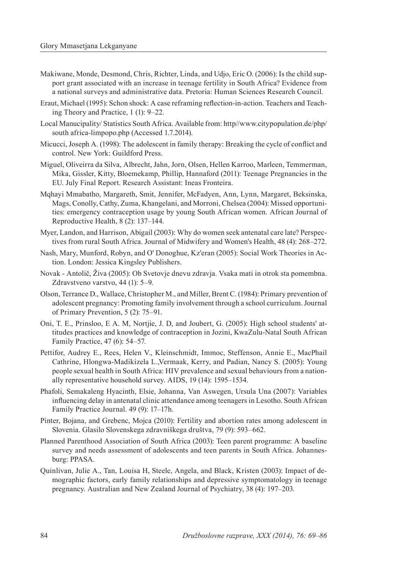- Makiwane, Monde, Desmond, Chris, Richter, Linda, and Udjo, Eric O. (2006): Is the child support grant associated with an increase in teenage fertility in South Africa? Evidence from a national surveys and administrative data. Pretoria: Human Sciences Research Council.
- Eraut, Michael (1995): Schon shock: A case reframing reflection-in-action. Teachers and Teaching Theory and Practice, 1 (1): 9–22.
- Local Manucipality/ Statistics South Africa. Available from: http//www.citypopulation.de/php/ south africa-limpopo.php (Accessed 1.7.2014).
- Micucci, Joseph A. (1998): The adolescent in family therapy: Breaking the cycle of conflict and control. New York: Guildford Press.
- Miguel, Oliveirra da Silva, Albrecht, Jahn, Jorn, Olsen, Hellen Karroo, Marleen, Temmerman, Mika, Gissler, Kitty, Bloemekamp, Phillip, Hannaford (2011): Teenage Pregnancies in the EU. July Final Report. Research Assistant: Ineas Fronteira.
- Mqhayi Mmabatho, Margareth, Smit, Jennifer, McFadyen, Ann, Lynn, Margaret, Beksinska, Mags, Conolly, Cathy, Zuma, Khangelani, and Morroni, Chelsea (2004): Missed opportunities: emergency contraception usage by young South African women. African Journal of Reproductive Health, 8 (2): 137–144.
- Myer, Landon, and Harrison, Abigail (2003): Why do women seek antenatal care late? Perspectives from rural South Africa. Journal of Midwifery and Women's Health, 48 (4): 268–272.
- Nash, Mary, Munford, Robyn, and O' Donoghue, Kz'eran (2005): Social Work Theories in Action. London: Jessica Kingsley Publishers.
- Novak Antolič, Živa (2005): Ob Svetovje dnevu zdravja. Vsaka mati in otrok sta pomembna. Zdravstveno varstvo, 44 (1): 5–9.
- Olson, Terrance D., Wallace, Christopher M., and Miller, Brent C. (1984): Primary prevention of adolescent pregnancy: Promoting family involvement through a school curriculum. Journal of Primary Prevention, 5 (2): 75–91.
- Oni, T. E., Prinsloo, E A. M, Nortjie, J. D, and Joubert, G. (2005): High school students' attitudes practices and knowledge of contraception in Jozini, KwaZulu-Natal South African Family Practice, 47 (6): 54–57.
- Pettifor, Audrey E., Rees, Helen V., Kleinschmidt, Immoc, Steffenson, Annie E., MacPhail Cathrine, Hlongwa-Madikizela L.,Vermaak, Kerry, and Padian, Nancy S. (2005): Young people sexual health in South Africa: HIV prevalence and sexual behaviours from a nationally representative household survey. AIDS, 19 (14): 1595–1534.
- Phafoli, Semakaleng Hyacinth, Elsie, Johanna, Van Aswegen, Ursula Una (2007): Variables influencing delay in antenatal clinic attendance among teenagers in Lesotho. South African Family Practice Journal. 49 (9): 17–17h.
- Pinter, Bojana, and Grebenc, Mojca (2010): Fertility and abortion rates among adolescent in Slovenia. Glasilo Slovenskega zdravniškega društva, 79 (9): 593–662.
- Planned Parenthood Association of South Africa (2003): Teen parent programme: A baseline survey and needs assessment of adolescents and teen parents in South Africa. Johannesburg: PPASA.
- Quinlivan, Julie A., Tan, Louisa H, Steele, Angela, and Black, Kristen (2003): Impact of demographic factors, early family relationships and depressive symptomatology in teenage pregnancy. Australian and New Zealand Journal of Psychiatry, 38 (4): 197–203.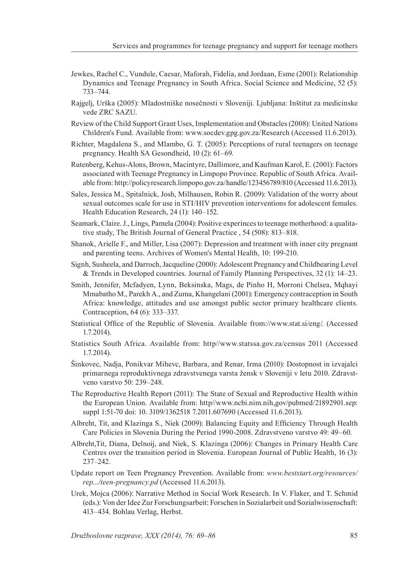- Jewkes, Rachel C., Vundule, Caesar, Maforah, Fidelia, and Jordaan, Esme (2001): Relationship Dynamics and Teenage Pregnancy in South Africa. Social Science and Medicine, 52 (5): 733–744.
- Rajgelj, Urška (2005): Mladostniške nosečnosti v Sloveniji. Ljubljana: Inštitut za medicinske vede ZRC SAZU.
- Review of the Child Support Grant Uses, Implementation and Obstacles (2008): United Nations Children's Fund. Available from: www.socdev.gpg.gov.za/Research (Accessed 11.6.2013).
- Richter, Magdalena S., and Mlambo, G. T. (2005): Perceptions of rural teenagers on teenage pregnancy. Health SA Gesondheid, 10 (2): 61–69.
- Rutenberg, Kehus-Alons, Brown, Macintyre, Dallimore, and Kaufman Karol, E. (2001): Factors associated with Teenage Pregnancy in Limpopo Province. Republic of South Africa. Available from: http://policyresearch.limpopo.gov.za/handle/123456789/810 (Accessed 11.6.2013).
- Sales, Jessica M., Spitalnick, Josh, Milhausen, Robin R. (2009): Validation of the worry about sexual outcomes scale for use in STI/HIV prevention interventions for adolescent females. Health Education Research, 24 (1): 140–152.
- Seamark, Claire. J., Lings, Pamela (2004): Positive experinces to teenage motherhood: a qualitative study, The British Journal of General Practice , 54 (508): 813–818.
- Shanok, Arielle F., and Miller, Lisa (2007): Depression and treatment with inner city pregnant and parenting teens. Archives of Women's Mental Health, 10: 199-210.
- Signh, Susheela, and Darroch, Jacqueline (2000): Adolescent Pregnancy and Childbearing Level & Trends in Developed countries. Journal of Family Planning Perspectives, 32 (1): 14–23.
- Smith, Jennifer, Mcfadyen, Lynn, Beksinska, Mags, de Pinho H, Morroni Chelsea, Mqhayi Mmabatho M., Parekh A., and Zuma, Khangelani (2001): Emergency contraception in South Africa: knowledge, attitudes and use amongst public sector primary healthcare clients. Contraception, 64 (6): 333–337.
- Statistical Office of the Republic of Slovenia. Available from://www.stat.si/eng/. (Accessed 1.7.2014).
- Statistics South Africa. Available from: http//www.statssa.gov.za/census 2011 (Accessed 1.7.2014).
- Šinkovec, Nadja, Ponikvar Mihevc, Barbara, and Renar, Irma (2010): Dostopnost in izvajalci primarnega reproduktivnega zdravstvenega varsta žensk v Sloveniji v letu 2010. Zdravstveno varstvo 50: 239–248.
- The Reproductive Health Report (2011): The State of Sexual and Reproductive Health within the European Union. Available from: http//www.ncbi.nim.nih,gov/pubmed/21892901.sep: suppl 1:51-70 doi: 10. 3109/1362518 7.2011.607690 (Accessed 11.6.2013).
- Albreht, Tit, and Klazinga S., Niek (2009): Balancing Equity and Efficiency Through Health Care Policies in Slovenia During the Period 1990-2008. Zdravstveno varstvo 49: 49–60.
- Albreht,Tit, Diana, Delnoij, and Niek, S. Klazinga (2006): Changes in Primary Health Care Centres over the transition period in Slovenia. European Journal of Public Health, 16 (3): 237–242.
- Update report on Teen Pregnancy Prevention. Available from: *www.beststart.org/resources/ rep.../teen-pregnancy.pd* (Accessed 11.6.2013).
- Urek, Mojca (2006): Narrative Method in Social Work Research. In V. Flaker, and T. Schmid (eds.): Von der Idee Zur Forschungsarbeit: Forschen in Sozialarbeit und Sozialwissenschaft: 413–434. Bohlau Verlag, Herbst.